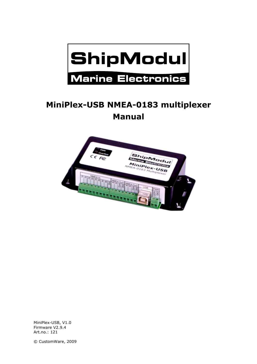

# **MiniPlex-USB NMEA-0183 multiplexer Manual**



MiniPlex-USB, V1.0 Firmware V2.9.4 Art.no.: 121

© CustomWare, 2009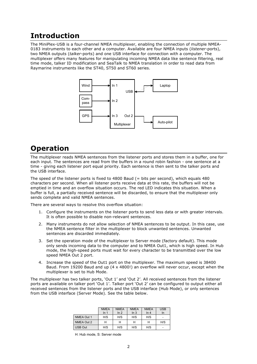## **Introduction**

The MiniPlex-USB is a four-channel NMEA multiplexer, enabling the connection of multiple NMEA-0183 instruments to each other and a computer. Available are four NMEA inputs (*listener*-ports), two NMEA outputs (*talker*-ports) and one USB interface for connection with a computer. The multiplexer offers many features for manipulating incoming NMEA data like sentence filtering, real time mode, talker ID modification and SeaTalk to NMEA translation in order to read data from Raymarine instruments like the ST40, ST50 and ST60 series.



## **Operation**

The multiplexer reads NMEA sentences from the listener ports and stores them in a buffer, one for each input. The sentences are read from the buffers in a round robin fashion - one sentence at a time - giving each listener port equal priority. Each sentence is then sent to the talker ports and the USB interface.

The speed of the listener ports is fixed to 4800 Baud ( $=$  bits per second), which equals 480 characters per second. When all listener ports receive data at this rate, the buffers will not be emptied in time and an overflow situation occurs. The red LED indicates this situation. When a buffer is full, a partially received sentence will be discarded, to ensure that the multiplexer only sends complete and valid NMEA sentences.

There are several ways to resolve this overflow situation:

- 1. Configure the instruments on the listener ports to send less data or with greater intervals. It is often possible to disable non-relevant sentences.
- 2. Many instruments do not allow selection of NMEA sentences to be output. In this case, use the NMEA sentence filter in the multiplexer to block unwanted sentences. Unwanted sentences are discarded immediately.
- 3. Set the operation mode of the multiplexer to Server mode (factory default). This mode only sends incoming data to the computer and to NMEA Out1, which is high speed. In Hub mode, the high-speed ports must wait for every character to be transmitted over the low speed NMEA Out 2 port.
- 4. Increase the speed of the Out1 port on the multiplexer. The maximum speed is 38400 Baud. From 19200 Baud and up (4 x 4800!) an overflow will never occur, except when the multiplexer is set to Hub Mode.

The multiplexer has two talker ports, 'Out 1' and 'Out 2'. All received sentences from the listener ports are available on talker port 'Out 1'. Talker port 'Out 2' can be configured to output either all received sentences from the listener ports and the USB interface (Hub Mode), or only sentences from the USB interface (Server Mode). See the table below.

|                | <b>NMEA</b><br>ln 1 | <b>NMEA</b><br>ln 2 | <b>NMEA</b><br>In <sub>3</sub> | <b>NMEA</b><br>In <sub>4</sub> | <b>USB</b><br>In |
|----------------|---------------------|---------------------|--------------------------------|--------------------------------|------------------|
| NMEA Out 1     | H/S                 | H/S                 | H/S                            | H/S                            |                  |
| NMEA Out 2     | Н                   | н                   | н                              | н                              | H/S              |
| <b>USB Out</b> | H/S                 | H/S                 | H/S                            | H/S                            |                  |

H: Hub mode, S: Server mode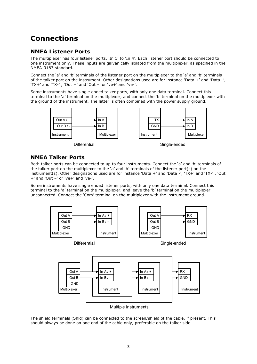# **Connections**

#### **NMEA Listener Ports**

The multiplexer has four listener ports, 'In 1' to 'In 4'. Each listener port should be connected to one instrument only. These inputs are galvanically isolated from the multiplexer, as specified in the NMEA-0183 standard.

Connect the 'a' and 'b' terminals of the listener port on the multiplexer to the 'a' and 'b' terminals of the talker port on the instrument. Other designations used are for instance 'Data +' and 'Data -', 'TX+' and 'TX-' , 'Out +' and 'Out –' or 've+' and 've-'.

Some instruments have single ended talker ports, with only one data terminal. Connect this terminal to the 'a' terminal on the multiplexer, and connect the 'b' terminal on the multiplexer with the ground of the instrument. The latter is often combined with the power supply ground.



#### **NMEA Talker Ports**

Both talker ports can be connected to up to four instruments. Connect the 'a' and 'b' terminals of the talker port on the multiplexer to the 'a' and 'b' terminals of the listener port(s) on the instrument(s). Other designations used are for instance 'Data +' and 'Data -', 'TX+' and 'TX-' , 'Out +' and 'Out –' or 've+' and 've-'.

Some instruments have single ended listener ports, with only one data terminal. Connect this terminal to the 'a' terminal on the multiplexer, and leave the 'b' terminal on the multiplexer unconnected. Connect the 'Com' terminal on the multiplexer with the instrument ground.



Multiple instruments

The shield terminals (Shld) can be connected to the screen/shield of the cable, if present. This should always be done on one end of the cable only, preferable on the talker side.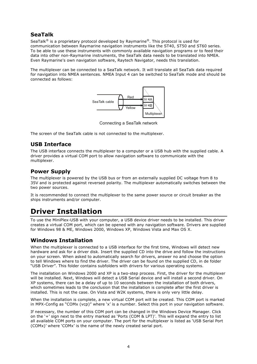### **SeaTalk**

SeaTalk<sup>®</sup> is a proprietary protocol developed by Raymarine®. This protocol is used for communication between Raymarine navigation instruments like the ST40, ST50 and ST60 series. To be able to use these instruments with commonly available navigation programs or to feed their data into other non-Raymarine instruments, the SeaTalk data needs to be translated into NMEA. Even Raymarine's own navigation software, Raytech Navigator, needs this translation.

The multiplexer can be connected to a SeaTalk network. It will translate all SeaTalk data required for navigation into NMEA sentences. NMEA Input 4 can be switched to SeaTalk mode and should be connected as follows:



Connecting a SeaTalk network

The screen of the SeaTalk cable is not connected to the multiplexer.

### **USB Interface**

The USB interface connects the multiplexer to a computer or a USB hub with the supplied cable. A driver provides a virtual COM port to allow navigation software to communicate with the multiplexer.

### **Power Supply**

The multiplexer is powered by the USB bus or from an externally supplied DC voltage from 8 to 35V and is protected against reversed polarity. The multiplexer automatically switches between the two power sources.

It is recommended to connect the multiplexer to the same power source or circuit breaker as the ships instruments and/or computer.

## **Driver Installation**

To use the MiniPlex-USB with your computer, a USB device driver needs to be installed. This driver creates a virtual COM port, which can be opened with any navigation software. Drivers are supplied for Windows 98 & ME, Windows 2000, Windows XP, Windows Vista and Max OS X.

#### **Windows Installation**

When the multiplexer is connected to a USB interface for the first time, Windows will detect new hardware and ask for a driver disk. Insert the supplied CD into the drive and follow the instructions on your screen. When asked to automatically search for drivers, answer no and choose the option to tell Windows where to find the driver. The driver can be found on the supplied CD, in de folder "USB Driver". This folder contains subfolders with drivers for various operating systems.

The installation on Windows 2000 and XP is a two-step process. First, the driver for the multiplexer will be installed. Next, Windows will detect a USB Serial device and will install a second driver. On XP systems, there can be a delay of up to 10 seconds between the installation of both drivers, which sometimes leads to the conclusion that the installation is complete after the first driver is installed. This is not the case. On Vista and W2K systems, there is only very little delay.

When the installation is complete, a new virtual COM port will be created. This COM port is marked in MPX-Config as "COMx (vcp)" where 'x' is a number. Select this port in your navigation software.

If necessary, the number of this COM port can be changed in the Windows Device Manager. Click on the '+' sign next to the entry marked as 'Ports (COM & LPT)'. This will expand the entry to list all available COM ports on your computer. The port for the multiplexer is listed as 'USB Serial Port (COMx)' where 'COMx' is the name of the newly created serial port.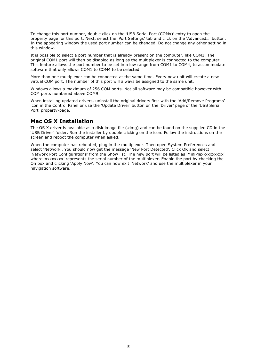To change this port number, double click on the 'USB Serial Port (COMx)' entry to open the property page for this port. Next, select the 'Port Settings' tab and click on the 'Advanced…' button. In the appearing window the used port number can be changed. Do not change any other setting in this window.

It is possible to select a port number that is already present on the computer, like COM1. The original COM1 port will then be disabled as long as the multiplexer is connected to the computer. This feature allows the port number to be set in a low range from COM1 to COM4, to accommodate software that only allows COM1 to COM4 to be selected.

More than one multiplexer can be connected at the same time. Every new unit will create a new virtual COM port. The number of this port will always be assigned to the same unit.

Windows allows a maximum of 256 COM ports. Not all software may be compatible however with COM ports numbered above COM9.

When installing updated drivers, uninstall the original drivers first with the 'Add/Remove Programs' icon in the Control Panel or use the 'Update Driver' button on the 'Driver' page of the 'USB Serial Port' property-page.

#### **Mac OS X Installation**

The OS X driver is available as a disk image file (.dmg) and can be found on the supplied CD in the 'USB Driver' folder. Run the installer by double clicking on the icon. Follow the instructions on the screen and reboot the computer when asked.

When the computer has rebooted, plug in the multiplexer. Then open System Preferences and select 'Network'. You should now get the message 'New Port Detected'. Click OK and select 'Network Port Configurations' from the Show list. The new port will be listed as 'MiniPlex-xxxxxxxx' where 'xxxxxxxx' represents the serial number of the multiplexer. Enable the port by checking the On box and clicking 'Apply Now'. You can now exit 'Network' and use the multiplexer in your navigation software.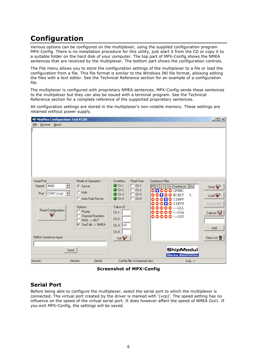# **Configuration**

Various options can be configured on the multiplexer, using the supplied configuration program MPX-Config. There is no installation procedure for this utility, just start it from the CD or copy it to a suitable folder on the hard disk of your computer. The top part of MPX-Config shows the NMEA sentences that are received by the multiplexer. The bottom part shows the configuration controls.

The File menu allows you to store the configuration settings of the multiplexer to a file or load the configuration from a file. This file format is similar to the Windows INI file format, allowing editing the files with a text editor. See the Technical Reference section for an example of a configuration file.

The multiplexer is configured with proprietary NMEA sentences. MPX-Config sends these sentences to the multiplexer but they can also be issued with a terminal program. See the Technical Reference section for a complete reference of the supported proprietary sentences.

All configuration settings are stored in the multiplexer's non-volatile memory. These settings are retained without power supply.

| <b>O</b> MiniPlex Configuration Tool V3.00          |                                                                                                    |                                                                                                                                                               |                                                                                                                                                                                                | $\Box$                                               |
|-----------------------------------------------------|----------------------------------------------------------------------------------------------------|---------------------------------------------------------------------------------------------------------------------------------------------------------------|------------------------------------------------------------------------------------------------------------------------------------------------------------------------------------------------|------------------------------------------------------|
| Devices About<br>File                               |                                                                                                    |                                                                                                                                                               |                                                                                                                                                                                                |                                                      |
|                                                     |                                                                                                    |                                                                                                                                                               |                                                                                                                                                                                                |                                                      |
| Serial Port<br>4800<br>Speed:<br>Port: COM1 (vcp) ▼ | Mode of Operation <sup>-</sup><br>C Server<br>$C$ Hub<br>C Auto Hub/Server<br>Options <sup>-</sup> | Real-Time<br>Overflow<br>Ch.1<br>$\bullet$ Ch.1<br>п<br>$\bullet$ Ch.2<br>Ch.2<br>Ch.3<br>$\bullet$ Ch.3<br>$Q$ Ch.4<br>$\Box$ Ch.4<br>Talker ID <sup>®</sup> | Sentence Filter<br>Div<br> PC  1   2   3   4   Sentence<br>ONOOO GPRMC<br>5<br>$\bullet$ HCHDT<br>-<br>$\bullet$ iimuv<br>$\bullet \bullet \mathbf{n} \bullet \mathbf{n}$ timtu<br>00000 --GLL | Store <sup>D</sup><br>Load $\mathbf{P}$<br>Delete ±1 |
| Read Configuration<br>₽                             | Priority<br><b>Channel Numbers</b><br>$HDG \rightarrow HDT$<br>SeaTalk --> NMEA<br>☞               | Ch.1:<br>Ch.2:<br>$Ch.3:$ WI<br>Ch.4:                                                                                                                         | ♦♦♦♦ --GGA<br>♦♦♦♦♦ --GSV                                                                                                                                                                      | Capture $\mathbb{R}$<br>Add                          |
| ⊤NMEA Sentence Input⊤<br>Send                       |                                                                                                    | $Set \bigtriangledown$                                                                                                                                        | ShipModul<br><b>Marine Electronics</b>                                                                                                                                                         | Clear List 宿                                         |
| Device:                                             | Serial:<br>Version:                                                                                | Config file: D:\manual.mpx                                                                                                                                    | Log: ---                                                                                                                                                                                       |                                                      |

**Screenshot of MPX-Config**

#### **Serial Port**

Before being able to configure the multiplexer, select the serial port to which the multiplexer is connected. The virtual port created by the driver is marked with '(vcp)'. The speed setting has no influence on the speed of the virtual serial port. It does however affect the speed of NMEA Out1. If you exit MPX-Config, the settings will be saved.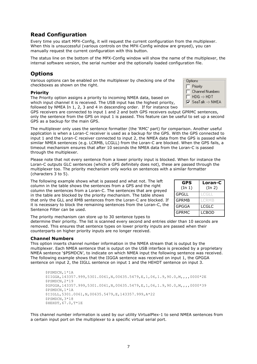#### **Read Configuration**

Every time you start MPX-Config, it will request the current configuration from the multiplexer. When this is unsuccessful (various controls on the MPX-Config window are greved), you can manually request the current configuration with this button.

The status line on the bottom of the MPX-Config window will show the name of the multiplexer, the internal software version, the serial number and the optionally loaded configuration file.

#### **Options**

Various options can be enabled on the multiplexer by checking one of the checkboxes as shown on the right.

#### **Priority**

The Priority option assigns a priority to incoming NMEA data, based on which input channel it is received. The USB input has the highest priority, followed by NMEA In 1, 2, 3 and 4 in descending order. If for instance two

GPS receivers are connected to input 1 and 2 and both GPS receivers output GPRMC sentences, only the sentence from the GPS on input 1 is passed. This feature can be useful to set up a second GPS as a backup for the main GPS.

The multiplexer only uses the sentence formatter (the 'RMC' part) for comparison. Another useful application is when a Loran-C receiver is used as a backup for the GPS. With the GPS connected to input 1 and the Loran-C receiver connected to input 2, the NMEA data from the GPS is passed while similar NMEA sentences (e.g. LCRMB, LCGLL) from the Loran-C are blocked. When the GPS fails, a timeout mechanism ensures that after 10 seconds the NMEA data from the Loran-C is passed through the multiplexer.

Please note that not every sentence from a lower priority input is blocked. When for instance the Loran-C outputs GLC sentences (which a GPS definitely does not), these are passed through the multiplexer too. The priority mechanism only works on sentences with a similar formatter (characters 3 to 5).

The following example shows what is passed and what not. The left column in the table shows the sentences from a GPS and the right column the sentences from a Loran-C. The sentences that are greyed in the table are blocked by the priority mechanism. The table shows that only the GLL and RMB sentences from the Loran-C are blocked. If it is necessary to block the remaining sentences from the Loran-C, the Sentence Filter can be used.

The priority mechanism can store up to 30 sentence types to

determine their priority. The list is scanned every second and entries older than 10 seconds are removed. This ensures that sentence types on lower priority inputs are passed when their counterparts on higher priority inputs are no longer received.

#### **Channel Numbers**

This option inserts channel number information in the NMEA stream that is output by the multiplexer. Each NMEA sentence that is output on the USB interface is preceded by a proprietary NMEA sentence '\$PSMDCN', to indicate on which NMEA input the following sentence was received. The following example shows that the IIGGA sentence was received on input 1, the GPGGA sentence on input 2, the IIGLL sentence on input 1 and the HEHDT sentence on input 3.

```
$PSMDCN,1*1A
$IIGGA,143357.999,5301.0061,N,00635.5479,E,1,06,1.9,90.0,M,,,,0000*2E
$PSMDCN,2*19
$GPGGA,143357.999,5301.0061,N,00635.5479,E,1,06,1.9,90.0,M,,,,0000*39
$PSMDCN,1*1A
$IIGLL,5301.0061,N,00635.5479,E,143357.999,A*22
$PSMDCN,3*18
$HEHDT,67.0,T*1E
```
This channel number information is used by our utility VirtualPlex-1 to send NMEA sentences from a certain input port on the multiplexer to a specific virtual serial port.

| <b>GPS</b><br>(In 1) | Loran-C<br>(In 2) |
|----------------------|-------------------|
| <b>GPGLL</b>         | LCGLI             |
| <b>GPRMB</b>         | <b>I CRMB</b>     |
| <b>GPGGA</b>         | LCGLC             |
| <b>GPRMC</b>         | <b>LCBOD</b>      |

**Options** Priority г **Channel Numbers**  $HDG \rightarrow HDT$ Г  $\nabla$  SeaTalk -> NMEA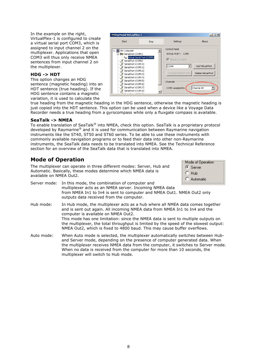In the example on the right, VirtualPlex-1 is configured to create a virtual serial port COM3, which is assigned to input channel 2 on the multiplexer. Applications that open COM3 will thus only receive NMEA sentences from input channel 2 on the multiplexer.

#### **HDG -> HDT**

This option changes an HDG sentence (magnetic heading) into an HDT sentence (true heading). If the HDG sentence contains a magnetic variation, it is used to calculate the

| <b>Example 1</b> ShipModul VirtualPlex-1               |      |                           | $\Box$ $\times$     |
|--------------------------------------------------------|------|---------------------------|---------------------|
| Start                                                  | Stop | Settings                  | About               |
| My Computer                                            |      | Control Panel             |                     |
| 白 30 Serial Port (COM1)                                |      | SERIAL PORT:<br>COM1      |                     |
| Wirtual Serial Port (COM3)<br>Serial Port (COM2)       |      | $\nabla$ Dispatch Enabled |                     |
| Serial Port (COM10)                                    |      | COM4                      | Add Virtual Port    |
| └─ ッ Serial Port (COM11)<br>Serial Port (COM12)        |      |                           |                     |
| ├─ ヺ゙ Serial Port (COM13)                              |      | Configure Master Port     | Delete Virtual Port |
| Serial Port (COM14)<br><u>w</u><br>Serial Port (COM15) |      |                           |                     |
| Serial Port (COM16)                                    |      | Channels                  |                     |
| Serial Port (COM17)                                    |      | COM3 assigned to          | Channel #2          |
| — y Serial Port (COM18)                                |      |                           |                     |

true heading from the magnetic heading in the HDG sentence, otherwise the magnetic heading is just copied into the HDT sentence. This option can be used when a device like a Voyage Data Recorder needs a true heading from a gyrocompass while only a fluxgate compass is available.

#### **SeaTalk -> NMEA**

To enable translation of SeaTalk® into NMEA, check this option. SeaTalk is a proprietary protocol developed by Raymarine® and it is used for communication between Raymarine navigation instruments like the ST40, ST50 and ST60 series. To be able to use these instruments with commonly available navigation programs or to feed their data into other non-Raymarine instruments, the SeaTalk data needs to be translated into NMEA. See the Technical Reference section for an overview of the SeaTalk data that is translated into NMEA.

#### **Mode of Operation**

The multiplexer can operate in three different modes: Server, Hub and Automatic. Basically, these modes determine which NMEA data is available on NMEA Out2.

| ⊤Mode of Operation |  |
|--------------------|--|
| $\odot$ Server     |  |
| C Hub              |  |
| C Automatic        |  |

- Server mode: In this mode, the combination of computer and multiplexer acts as an NMEA server. Incoming NMEA data from NMEA In1 to In4 is sent to computer and NMEA Out1. NMEA Out2 only outputs data received from the computer. Hub mode: In Hub mode, the multiplexer acts as a hub where all NMEA data comes together and is sent out again. All incoming NMEA data from NMEA In1 to In4 and the computer is available on NMEA Out2. This mode has one limitation: since the NMEA data is sent to multiple outputs on the multiplexer, the total throughput is limited by the speed of the slowest output: NMEA Out2, which is fixed to 4800 baud. This may cause buffer overflows. Auto mode: When Auto mode is selected, the multiplexer automatically switches between Hub-
- and Server mode, depending on the presence of computer generated data. When the multiplexer receives NMEA data from the computer, it switches to Server mode. When no data is received from the computer for more than 10 seconds, the multiplexer will switch to Hub mode.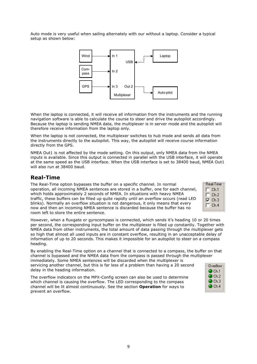Auto mode is very useful when sailing alternately with our without a laptop. Consider a typical setup as shown below:



When the laptop is connected, it will receive all information from the instruments and the running navigation software is able to calculate the course to steer and drive the autopilot accordingly. Because the laptop is sending NMEA data, the multiplexer is in server mode and the autopilot will therefore receive information from the laptop only.

When the laptop is not connected, the multiplexer switches to hub mode and sends all data from the instruments directly to the autopilot. This way, the autopilot will receive course information directly from the GPS.

NMEA Out1 is not affected by the mode setting. On this output, only NMEA data from the NMEA inputs is available. Since this output is connected in parallel with the USB interface, it will operate at the same speed as the USB interface. When the USB interface is set to 38400 baud, NMEA Out1 will also run at 38400 baud.

### **Real-Time**

The Real-Time option bypasses the buffer on a specific channel. In normal operation, all incoming NMEA sentences are stored in a buffer, one for each channel, which holds approximately 2 seconds of NMEA. In situations with heavy NMEA traffic, these buffers can be filled up quite rapidly until an overflow occurs (read LED blinks). Normally an overflow situation is not dangerous, it only means that every now and then an incoming NMEA sentence is discarded because the buffer has no room left to store the entire sentence.

| Real-Time |
|-----------|
| Ch.1      |
| Ch.2      |
| Ch.3      |
| Ch.4      |

However, when a fluxgate or gyrocompass is connected, which sends it's heading 10 or 20 times per second, the corresponding input buffer on the multiplexer is filled up constantly. Together with NMEA data from other instruments, the total amount of data passing through the multiplexer gets so high that almost all used inputs are in constant overflow, resulting in an unacceptable delay of information of up to 20 seconds. This makes it impossible for an autopilot to steer on a compass heading.

By enabling the Real-Time option on a channel that is connected to a compass, the buffer on that channel is bypassed and the NMEA data from the compass is passed through the multiplexer immediately. Some NMEA sentences will be discarded when the multiplexer is servicing another channel, but this is far less of a problem than having a 20 second delay in the heading information.  $Q<sub>Ch1</sub>$ 

The overflow indicators on the MPX-Config screen can also be used to determine which channel is causing the overflow. The LED corresponding to the compass channel will be lit almost continuously. See the section **Operation** for ways to prevent an overflow.

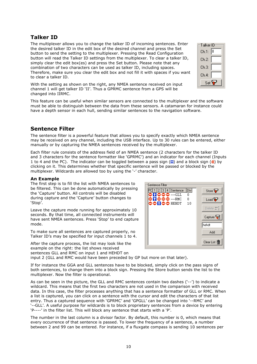### **Talker ID**

The multiplexer allows you to change the talker ID of incoming sentences. Enter the desired talker ID in the edit box of the desired channel and press the Set button to send the setting to the multiplexer. Pressing the Read Configuration button will read the Talker ID settings from the multiplexer. To clear a talker ID, simply clear the edit box(es) and press the Set button. Please note that any combination of two characters can be used as talker ID, including spaces. Therefore, make sure you clear the edit box and not fill it with spaces if you want to clear a talker ID.

With the setting as shown on the right, any NMEA sentence received on input channel 1 will get talker ID 'II'. Thus a GPRMC sentence from a GPS will be changed into IIRMC.

This feature can be useful when similar sensors are connected to the multiplexer and the software must be able to distinguish between the data from these sensors. A catamaran for instance could have a depth sensor in each hull, sending similar sentences to the navigation software.

### **Sentence Filter**

The sentence filter is a powerful feature that allows you to specify exactly which NMEA sentence may be received on any channel, including the USB interface. Up to 30 rules can be entered, either manually or by capturing the NMEA sentences received by the multiplexer.

Each filter rule consists of the address field of an NMEA sentence (2 characters for the talker ID and 3 characters for the sentence formatter like 'GPRMC') and an indicator for each channel (Inputs 1 to 4 and the PC). The indicator can be toggled between a pass sign ( $\Box$ ) and a block sign ( $\Diamond$ ) by clicking on it. This determines whether that specific sentence will be passed or blocked by the multiplexer. Wildcards are allowed too by using the '-' character.

#### **An Example**

The first step is to fill the list with NMEA sentences to be filtered. This can be done automatically by pressing the 'Capture' button. All controls will be disabled during capture and the 'Capture' button changes to 'Stop'.

Leave the capture mode running for approximately 10 seconds. By that time, all connected instruments will have sent NMEA sentences. Press 'Stop' to end capture mode.

To make sure all sentences are captured properly, no Talker ID's may be specified for input channels 1 to 4.

After the capture process, the list may look like the example on the right: the list shows received sentences GLL and RMC on input 1 and HEHDT on input 2 (GLL and RMC would have been preceded by GP but more on that later).

If for instance the GGA and GLL sentences have to be blocked, simply click on the pass signs of both sentences, to change them into a block sign. Pressing the Store button sends the list to the multiplexer. Now the filter is operational.

As can be seen in the picture, the GLL and RMC sentences contain two dashes ('--') to indicate a wildcard. This means that the first two characters are not used in the comparison with received data. In this case, the filter processes anything that has a sentence formatter of GLL or RMC. When a list is captured, you can click on a sentence with the cursor and edit the characters of that list entry. Thus a captured sequence with 'GPRMC' and 'GPGLL' can be changed into '--RMC' and '--GLL'. A useful purpose for wildcards is to block proprietary sentences from a device by entering 'P----' in the filter list. This will block any sentence that starts with a 'P'.

The number in the last column is a divisor factor. By default, this number is 0, which means that every occurrence of that sentence is passed. To lower the frequency of a sentence, a number between 2 and 99 can be entered. For instance, if a fluxgate compass is sending 10 sentences per



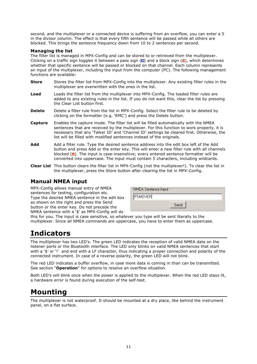second, and the multiplexer or a connected device is suffering from an overflow, you can enter a 5 in the divisor column. The effect is that every fifth sentence will be passed while all others are blocked. This brings the sentence frequency down from 10 to 2 sentences per second.

#### **Managing the list**

The filter list is managed in MPX-Config and can be stored to or retrieved from the multiplexer. Clicking on a traffic sign toggles it between a pass sign ( $\Box$ ) and a block sign ( $\Diamond$ ), which determines whether that specific sentence will be passed or blocked on that channel. Each column represents an input of the multiplexer, including the input from the computer (PC). The following management functions are available:

- **Store** Stores the filter list from MPX-Config into the multiplexer. Any existing filter rules in the multiplexer are overwritten with the ones in the list.
- **Load** Loads the filter list from the multiplexer into MPX-Config. The loaded filter rules are added to any existing rules in the list. If you do not want this, clear the list by pressing the Clear List button first.
- **Delete** Delete a filter rule from the list in MPX-Config. Select the filter rule to be deleted by clicking on the formatter (e.g. 'RMC') and press the Delete button.
- **Capture** Enables the capture mode. The filter list will be filled automatically with the NMEA sentences that are received by the multiplexer. For this function to work properly, it is necessary that any 'Talker ID' and 'Channel ID' settings be cleared first. Otherwise, the list will be filled with modified sentences instead of the originals.
- **Add** Add a filter rule. Type the desired sentence address into the edit box left of the Add button and press Add or the enter key. This will enter a new filter rule with all channels blocked  $\left( \bullet \right)$ . The input is case-insensitive; every entered sentence formatter will be converted into uppercase. The input must contain 5 characters, including wildcards.
- **Clear List** This button clears the filter list in MPX-Config (not the multiplexer!). To clear the list in the multiplexer, press the Store button after clearing the list in MPX-Config.

#### **Manual NMEA input**

MPX-Config allows manual entry of NMEA sentences for testing, configuration etc. Type the desired NMEA sentence in the edit box as shown on the right and press the Send button or the enter key. Do not precede the NMEA sentence with a '\$' as MPX-Config will do

| <del>┌</del> NMEA Sentence Input |      |
|----------------------------------|------|
| <b>PSMDVER</b>                   |      |
|                                  | Send |

this for you. The input is case sensitive, so whatever you type will be sent literally to the multiplexer. Since all NMEA commands are uppercase, you have to enter them as uppercase.

## **Indicators**

The multiplexer has two LED's. The green LED indicates the reception of valid NMEA data on the listener ports or the Bluetooth interface. The LED only blinks on valid NMEA sentences that start with a '\$' or '!' and end with a LF character, thus indicating a proper connection and polarity of the connected instrument. In case of a reverse polarity, the green LED will not blink.

The red LED indicates a buffer overflow, in case more data is coming in than can be transmitted. See section "**Operation**" for options to resolve an overflow situation.

Both LED's will blink once when the power is applied to the multiplexer. When the red LED stays lit, a hardware error is found during execution of the self-test.

## **Mounting**

The multiplexer is not waterproof. It should be mounted at a dry place, like behind the instrument panel, on a flat surface.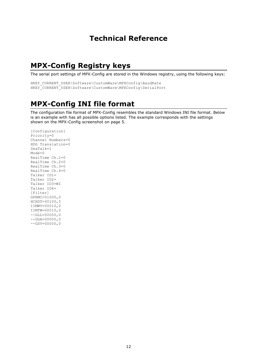### **Technical Reference**

## **MPX-Config Registry keys**

The serial port settings of MPX-Config are stored in the Windows registry, using the following keys:

```
HKEY_CURRENT_USER\Software\CustomWare\MPXConfig\BaudRate
HKEY_CURRENT_USER\Software\CustomWare\MPXConfig\SerialPort
```
## **MPX-Config INI file format**

The configuration file format of MPX-Config resembles the standard Windows INI file format. Below is an example with has all possible options listed. The example corresponds with the settings shown on the MPX-Config screenshot on page 5.

```
[Configuration]
Priority=0
Channel Numbers=0
HDG Translation=0
SeaTalk=1
Mode=0
RealTime Ch.1=0
RealTime Ch. 2=0RealTime Ch.3=0
RealTime Ch.4=0
Talker ID1=
Talker ID2=
Talker ID3=WI
Talker ID4=
[Filter]
GPRMC=01000,0
HCHDT=00100,5
IIMWV=00010,0
IIMTW=00010,0
--GLL=00000,0-GGA=00000,0-GSV=00000,0
```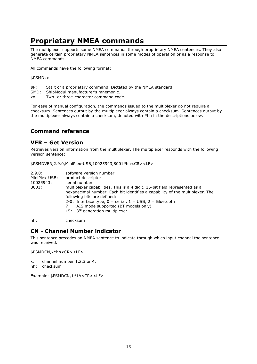## **Proprietary NMEA commands**

The multiplexer supports some NMEA commands through proprietary NMEA sentences. They also generate certain proprietary NMEA sentences in some modes of operation or as a response to NMEA commands.

All commands have the following format:

#### \$PSMDxx

- \$P: Start of a proprietary command. Dictated by the NMEA standard.
- SMD: ShipModul manufacturer's mnemonic.
- xx: Two- or three-character command code.

For ease of manual configuration, the commands issued to the multiplexer do not require a checksum. Sentences output by the multiplexer always contain a checksum. Sentences output by the multiplexer always contain a checksum, denoted with \*hh in the descriptions below.

### **Command reference**

#### **VER – Get Version**

Retrieves version information from the multiplexer. The multiplexer responds with the following version sentence:

\$PSMDVER,2.9.0,MiniPlex-USB,10025943,8001\*hh<CR><LF>

| MiniPlex-USB:<br>product descriptor<br>serial number<br>10025943:<br>8001:<br>multiplexer capabilities. This is a 4 digit, 16-bit field represented as a<br>hexadecimal number. Each bit identifies a capability of the multiplexer. The<br>following bits are defined:<br>2-0: Interface type, $0 =$ serial, $1 =$ USB, $2 =$ Bluetooth<br>AIS mode supported (BT models only)<br>7:<br>15: 3 <sup>rd</sup> generation multiplexer |  |
|-------------------------------------------------------------------------------------------------------------------------------------------------------------------------------------------------------------------------------------------------------------------------------------------------------------------------------------------------------------------------------------------------------------------------------------|--|
|-------------------------------------------------------------------------------------------------------------------------------------------------------------------------------------------------------------------------------------------------------------------------------------------------------------------------------------------------------------------------------------------------------------------------------------|--|

hh: checksum

#### **CN - Channel Number indicator**

This sentence precedes an NMEA sentence to indicate through which input channel the sentence was received.

\$PSMDCN,x\*hh<CR><LF>

x: channel number 1,2,3 or 4.

hh: checksum

Example: \$PSMDCN,1\*1A<CR><LF>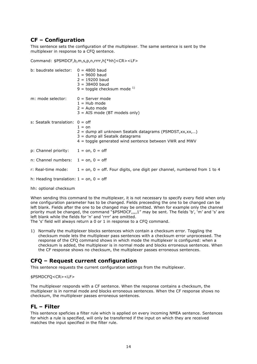#### **CF – Configuration**

This sentence sets the configuration of the multiplexer. The same sentence is sent by the multiplexer in response to a CFQ sentence.

Command: \$PSMDCF,b,m,s,p,n,rrrr,h[\*hh]<CR><LF>

| b: baudrate selector: $0 = 4800$ baud     | $1 = 9600$ baud<br>$2 = 19200$ baud<br>$3 = 38400$ baud<br>9 = toggle checksum mode $^{1)}$                                                                            |
|-------------------------------------------|------------------------------------------------------------------------------------------------------------------------------------------------------------------------|
| m: mode selector:                         | $0 =$ Server mode<br>$1 =$ Hub mode<br>$2 =$ Auto mode<br>$3 = AIS$ mode (BT models only)                                                                              |
| s: Seatalk translation: $0 =$ off         | $1 =$ on<br>$2 =$ dump all unknown Seatalk datagrams (PSMDST, xx, xx,)<br>$3 =$ dump all Seatalk datagrams<br>$4$ = toggle generated wind sentence between VWR and MWV |
| p: Channel priority: $1 = on, 0 = off$    |                                                                                                                                                                        |
| n: Channel numbers: $1 = on, 0 = off$     |                                                                                                                                                                        |
|                                           | r: Real-time mode: $1 = on, 0 = off.$ Four digits, one digit per channel, numbered from 1 to 4                                                                         |
| h: Heading translation: $1 = on, 0 = off$ |                                                                                                                                                                        |
| hh: optional checksum                     |                                                                                                                                                                        |

When sending this command to the multiplexer, it is not necessary to specify every field when only one configuration parameter has to be changed. Fields preceeding the one to be changed can be left blank. Fields after the one to be changed may be omitted. When for example only the channel priority must be changed, the command "\$PSMDCF,,,,1" may be sent. The fields 'b', 'm' and 's' are left blank while the fields for 'n' and 'rrrr' are omitted.

The 's' field will always return a 0 or 1 in response to a CFQ command.

1) Normally the multiplexer blocks sentences which contain a checksum error. Toggling the checksum mode lets the multiplexer pass sentences with a checksum error unprocessed. The response of the CFQ command shows in which mode the multiplexer is configured: when a checksum is added, the multiplexer is in normal mode and blocks erroneous sentences. When the CF response shows no checksum, the multiplexer passes erroneous sentences.

### **CFQ – Request current configuration**

This sentence requests the current configuration settings from the multiplexer.

#### \$PSMDCFQ<CR><LF>

The multiplexer responds with a CF sentence. When the response contains a checksum, the multiplexer is in normal mode and blocks erroneous sentences. When the CF response shows no checksum, the multiplexer passes erroneous sentences.

#### **FL – Filter**

This sentence speficies a filter rule which is applied on every incoming NMEA sentence. Sentences for which a rule is specified, will only be transferred if the input on which they are received matches the input specified in the filter rule.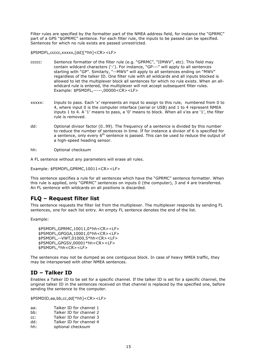Filter rules are specified by the formatter part of the NMEA address field, for instance the "GPRMC" part of a GPS "\$GPRMC" sentence. For each filter rule, the inputs to be passed can be specified. Sentences for which no rule exists are passed unrestricted.

\$PSMDFL,ccccc,xxxxx,[dd][\*hh]<CR><LF>

- ccccc: Sentence formatter of the filter rule (e.g. "GPRMC", "IIMWV", etc). This field may contain wildcard characters ('-'). For instance, "GP---" will apply to all sentences starting with "GP". Similarly, "--MWV" will apply to all sentences ending on "MWV" regardless of the talker ID. One filter rule with all wildcards and all inputs blocked is allowed to let the multiplexer block all sentences for which no rule exists. When an allwildcard rule is entered, the multiplexer will not accept subsequent filter rules. Example: \$PSMDFL,-----,00000<CR><LF>
- xxxxx: Inputs to pass. Each 'x' represents an input to assign to this rule, numbered from 0 to 4, where input 0 is the computer interface (serial or USB) and 1 to 4 represent NMEA inputs 1 to 4. A '1' means to pass, a '0' means to block. When all x'es are '1', the filter rule is removed.
- dd: Optional divisor factor (0..99). The frequency of a sentence is divided by this number to reduce the number of sentences in time. If for instance a divisor of 6 is specified for a sentence, only every  $6<sup>th</sup>$  sentence is passed. This can be used to reduce the output of a high-speed heading sensor.
- hh: Optional checksum

A FL sentence without any parameters will erase all rules.

Example: \$PSMDFL,GPRMC,10011<CR><LF>

This sentence specifies a rule for all sentences which have the "GPRMC" sentence formatter. When this rule is applied, only "GPRMC" sentences on inputs 0 (the computer), 3 and 4 are transferred. An FL sentence with wildcards on all positions is discarded.

#### **FLQ – Request filter list**

This sentence requests the filter list from the multiplexer. The multiplexer responds by sending FL sentences, one for each list entry. An empty FL sentence denotes the end of the list.

Example:

```
$PSMDFL,GPRMC,10011,0*hh<CR><LF>
$PSMDFL,GPGGA,10001,0*hh<CR><LF>
$PSMDFL,--VWT,01000,5*hh<CR><LF>
$PSMDFL,GPGSV,00001*hh<CR><LF>
$PSMDFL,*hh<CR><LF>
```
The sentences may not be dumped as one contiguous block. In case of heavy NMEA traffic, they may be interspersed with other NMEA sentences.

#### **ID – Talker ID**

Enables a Talker ID to be set for a specific channel. If the talker ID is set for a specific channel, the original talker ID in the sentences received on that channel is replaced by the specified one, before sending the sentence to the computer.

\$PSMDID,aa,bb,cc,dd[\*hh]<CR><LF>

- aa: Talker ID for channel 1
- bb: Talker ID for channel 2
- cc: Talker ID for channel 3
- dd: Talker ID for channel 4
- hh: optional checksum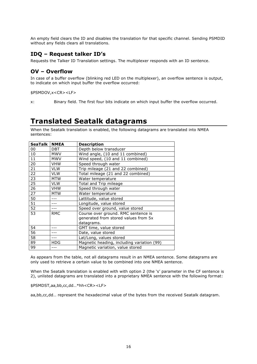An empty field clears the ID and disables the translation for that specific channel. Sending PSMDID without any fields clears all translations.

#### **IDQ – Request talker ID's**

Requests the Talker ID Translation settings. The multiplexer responds with an ID sentence.

#### **OV – Overflow**

In case of a buffer overflow (blinking red LED on the multiplexer), an overflow sentence is output, to indicate on which input buffer the overflow occurred:

\$PSMDOV,x<CR><LF>

x: Binary field. The first four bits indicate on which input buffer the overflow occurred.

### **Translated Seatalk datagrams**

When the Seatalk translation is enabled, the following datagrams are translated into NMEA sentences:

| <b>SeaTalk</b> | <b>NMEA</b> | <b>Description</b>                         |
|----------------|-------------|--------------------------------------------|
| 00             | <b>DBT</b>  | Depth below transducer                     |
| 10             | <b>MWV</b>  | Wind angle, (10 and 11 combined)           |
| 11             | <b>MWV</b>  | Wind speed, (10 and 11 combined)           |
| 20             | <b>VHW</b>  | Speed through water                        |
| 21             | <b>VLW</b>  | Trip mileage (21 and 22 combined)          |
| 22             | <b>VLW</b>  | Total mileage (21 and 22 combined)         |
| 23             | <b>MTW</b>  | Water temperature                          |
| 25             | <b>VLW</b>  | Total and Trip mileage                     |
| 26             | <b>VHW</b>  | Speed through water                        |
| 27             | <b>MTW</b>  | Water temperature                          |
| 50             | $- - -$     | Lattitude, value stored                    |
| 51             |             | Longitude, value stored                    |
| 52             |             | Speed over ground, value stored            |
| 53             | <b>RMC</b>  | Course over ground. RMC sentence is        |
|                |             | generated from stored values from 5x       |
|                |             | datagrams.                                 |
| 54             |             | GMT time, value stored                     |
| 56             |             | Date, value stored                         |
| 58             |             | Lat/Long, values stored                    |
| 89             | <b>HDG</b>  | Magnetic heading, including variation (99) |
| 99             |             | Magnetic variation, value stored           |

As appears from the table, not all datagrams result in an NMEA sentence. Some datagrams are only used to retrieve a certain value to be combined into one NMEA sentence.

When the Seatalk translation is enabled with with option 2 (the 's' parameter in the CF sentence is 2), unlisted datagrams are translated into a proprietary NMEA sentence with the following format:

\$PSMDST,aa,bb,cc,dd…\*hh<CR><LF>

aa,bb,cc,dd… represent the hexadecimal value of the bytes from the received Seatalk datagram.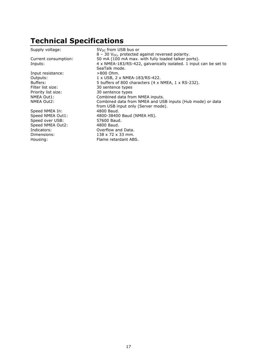# **Technical Specifications**

| Supply voltage:                 | $5V_{DC}$ from USB bus or<br>$8 - 30$ V <sub>DC</sub> , protected against reversed polarity.                             |
|---------------------------------|--------------------------------------------------------------------------------------------------------------------------|
| Current consumption:<br>Inputs: | 50 mA (100 mA max. with fully loaded talker ports).<br>4 x NMEA-183/RS-422, galvanically isolated. 1 input can be set to |
|                                 | SeaTalk mode.                                                                                                            |
| Input resistance:               | $>800$ Ohm.                                                                                                              |
| Outputs:                        | 1 x USB, 2 x NMEA-183/RS-422.                                                                                            |
| Buffers:                        | 5 buffers of 800 characters (4 x NMEA, 1 x RS-232).                                                                      |
| Filter list size:               | 30 sentence types                                                                                                        |
| Priority list size:             | 30 sentence types                                                                                                        |
| NMEA Out1:                      | Combined data from NMEA inputs.                                                                                          |
| NMEA Out2:                      | Combined data from NMEA and USB inputs (Hub mode) or data                                                                |
|                                 | from USB input only (Server mode).                                                                                       |
| Speed NMEA In:                  | 4800 Baud.                                                                                                               |
| Speed NMEA Out1:                | 4800-38400 Baud (NMEA HS).                                                                                               |
| Speed over USB:                 | 57600 Baud.                                                                                                              |
| Speed NMEA Out2:                | 4800 Baud.                                                                                                               |
| Indicators:                     | Overflow and Data.                                                                                                       |
| Dimensions:                     | $138 \times 72 \times 33$ mm.                                                                                            |
| Housing:                        | Flame retardant ABS.                                                                                                     |
|                                 |                                                                                                                          |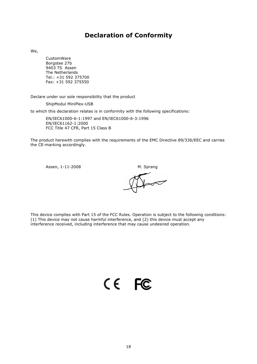### **Declaration of Conformity**

We,

CustomWare Borgstee 27b 9403 TS Assen The Netherlands Tel.: +31 592 375700 Fax: +31 592 375550

Declare under our sole responsibility that the product

ShipModul MiniPlex-USB

to which this declaration relates is in conformity with the following specifications:

EN/IEC61000-6-1:1997 and EN/IEC61000-6-3:1996 EN/IEC61162-1:2000 FCC Title 47 CFR, Part 15 Class B

The product herewith complies with the requirements of the EMC Directive 89/336/EEC and carries the CE-marking accordingly.

Assen, 1-11-2008 M. Sprang

 $\sim$ 

This device complies with Part 15 of the FCC Rules. Operation is subject to the following conditions: (1) This device may not cause harmful interference, and (2) this device must accept any interference received, including interference that may cause undesired operation.

CE FC